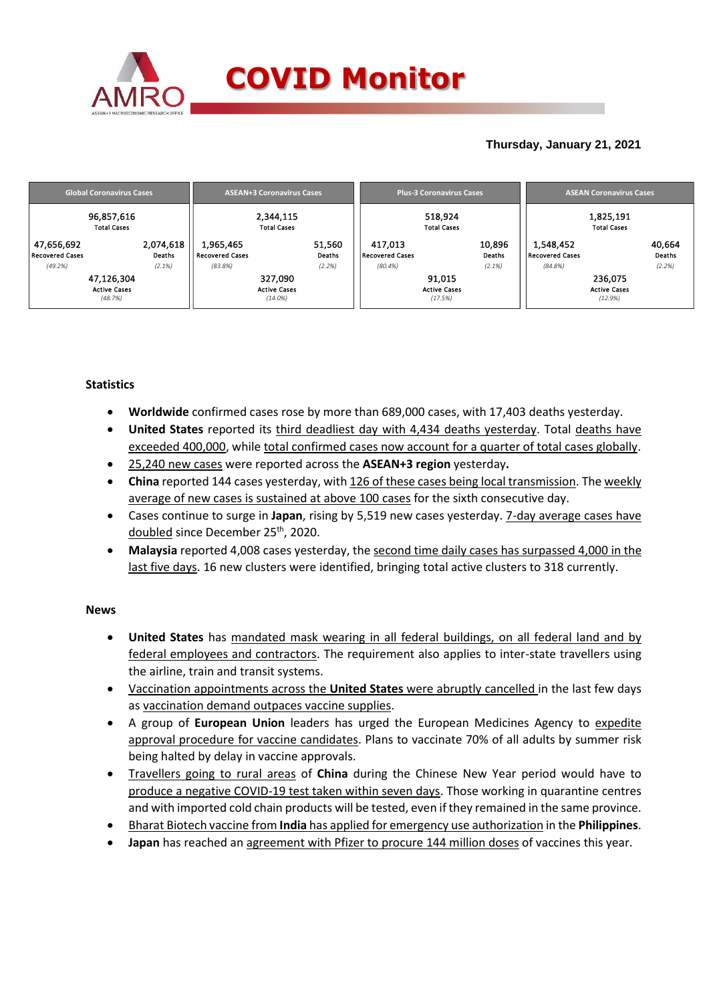

## **Thursday, January 21, 2021**

|                                      | <b>Global Coronavirus Cases</b>                        |  | <b>ASEAN+3 Coronavirus Cases</b>                        |                  |                            | <b>Plus-3 Coronavirus Cases</b>          |                         | <b>ASEAN Coronavirus Cases</b>  |                                           |                  |  |
|--------------------------------------|--------------------------------------------------------|--|---------------------------------------------------------|------------------|----------------------------|------------------------------------------|-------------------------|---------------------------------|-------------------------------------------|------------------|--|
| 96,857,616<br><b>Total Cases</b>     |                                                        |  | 2,344,115<br><b>Total Cases</b>                         |                  |                            | 518,924<br><b>Total Cases</b>            |                         | 1,825,191<br><b>Total Cases</b> |                                           |                  |  |
| 47,656,692<br><b>Recovered Cases</b> | 2,074,618<br>Deaths                                    |  | 1,965,465<br><b>Recovered Cases</b>                     | 51,560<br>Deaths | 417,013<br>Recovered Cases |                                          | 10,896<br><b>Deaths</b> | 1,548,452<br>Recovered Cases    |                                           | 40,664<br>Deaths |  |
| (49.2%)                              | (2.1%)<br>47,126,304<br><b>Active Cases</b><br>(48.7%) |  | (83.8%)<br>327,090<br><b>Active Cases</b><br>$(14.0\%)$ | (2.2%)           | (80.4%)                    | 91,015<br><b>Active Cases</b><br>(17.5%) | (2.1%)                  | (84.8%)                         | 236,075<br><b>Active Cases</b><br>(12.9%) | (2.2%)           |  |

### **Statistics**

- **Worldwide** confirmed cases rose by more than 689,000 cases, with 17,403 deaths yesterday.
- **United States** reported its third deadliest day with 4,434 deaths yesterday. Total deaths have exceeded 400,000, while total confirmed cases now account for a quarter of total cases globally.
- 25,240 new cases were reported across the **ASEAN+3 region** yesterday**.**
- **China** reported 144 cases yesterday, with 126 of these cases being local transmission. The weekly average of new cases is sustained at above 100 cases for the sixth consecutive day.
- Cases continue to surge in **Japan**, rising by 5,519 new cases yesterday. 7-day average cases have doubled since December 25<sup>th</sup>, 2020.
- **Malaysia** reported 4,008 cases yesterday, the second time daily cases has surpassed 4,000 in the last five days. 16 new clusters were identified, bringing total active clusters to 318 currently.

### **News**

- **United States** has mandated mask wearing in all federal buildings, on all federal land and by federal employees and contractors. The requirement also applies to inter-state travellers using the airline, train and transit systems.
- Vaccination appointments across the **United States** were abruptly cancelled in the last few days as vaccination demand outpaces vaccine supplies.
- A group of **European Union** leaders has urged the European Medicines Agency to expedite approval procedure for vaccine candidates. Plans to vaccinate 70% of all adults by summer risk being halted by delay in vaccine approvals.
- Travellers going to rural areas of **China** during the Chinese New Year period would have to produce a negative COVID-19 test taken within seven days. Those working in quarantine centres and with imported cold chain products will be tested, even if they remained in the same province.
- Bharat Biotech vaccine from **India** has applied for emergency use authorization in the **Philippines**.
- **Japan** has reached an agreement with Pfizer to procure 144 million doses of vaccines this year.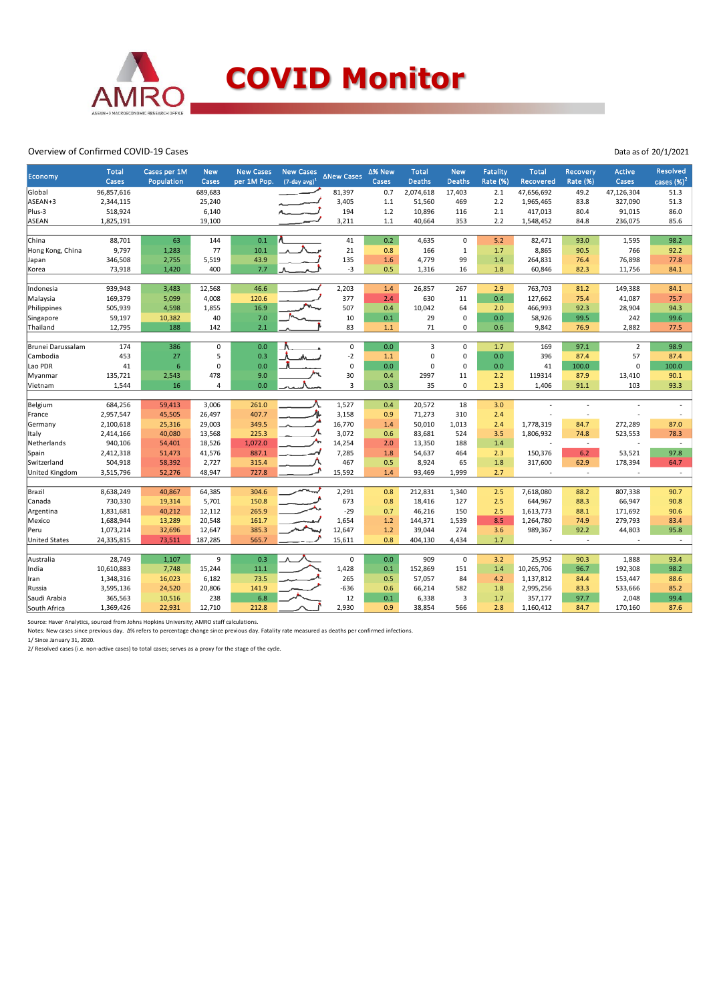

#### Overview of Confirmed COVID-19 Cases

| Economy              | <b>Total</b><br>Cases | Cases per 1M<br>Population | <b>New</b><br>Cases | <b>New Cases</b><br>per 1M Pop. | <b>New Cases</b><br>$(7$ -day avg) <sup>1</sup> | <b>∆New Cases</b> | ∆% New<br>Cases | <b>Total</b><br><b>Deaths</b> | <b>New</b><br>Deaths | <b>Fatality</b><br>Rate (%) | <b>Total</b><br>Recovered | Recovery<br>Rate (%)     | <b>Active</b><br>Cases | <b>Resolved</b><br>cases $(\%)^2$ |
|----------------------|-----------------------|----------------------------|---------------------|---------------------------------|-------------------------------------------------|-------------------|-----------------|-------------------------------|----------------------|-----------------------------|---------------------------|--------------------------|------------------------|-----------------------------------|
| Global               | 96,857,616            |                            | 689,683             |                                 |                                                 | 81,397            | 0.7             | 2,074,618                     | 17,403               | 2.1                         | 47,656,692                | 49.2                     | 47,126,304             | 51.3                              |
| ASEAN+3              | 2,344,115             |                            | 25,240              |                                 |                                                 | 3,405             | 1.1             | 51,560                        | 469                  | 2.2                         | 1,965,465                 | 83.8                     | 327,090                | 51.3                              |
| Plus-3               | 518,924               |                            | 6,140               |                                 |                                                 | 194               | 1.2             | 10,896                        | 116                  | 2.1                         | 417,013                   | 80.4                     | 91,015                 | 86.0                              |
| ASEAN                | 1,825,191             |                            | 19,100              |                                 |                                                 | 3,211             | 1.1             | 40,664                        | 353                  | 2.2                         | 1,548,452                 | 84.8                     | 236,075                | 85.6                              |
|                      |                       |                            |                     |                                 |                                                 |                   |                 |                               |                      |                             |                           |                          |                        |                                   |
| China                | 88,701                | 63                         | 144                 | 0.1                             |                                                 | 41                | 0.2             | 4,635                         | $\mathbf 0$          | 5.2                         | 82,471                    | 93.0                     | 1,595                  | 98.2                              |
| Hong Kong, China     | 9,797                 | 1,283                      | 77                  | 10.1                            |                                                 | 21                | 0.8             | 166                           | $\mathbf{1}$         | 1.7                         | 8,865                     | 90.5                     | 766                    | 92.2                              |
| Japan                | 346,508               | 2,755                      | 5,519               | 43.9                            |                                                 | 135               | 1.6             | 4,779                         | 99                   | 1.4                         | 264,831                   | 76.4                     | 76,898                 | 77.8                              |
| Korea                | 73,918                | 1,420                      | 400                 | 7.7                             |                                                 | -3                | 0.5             | 1,316                         | 16                   | 1.8                         | 60,846                    | 82.3                     | 11,756                 | 84.1                              |
|                      |                       |                            |                     |                                 |                                                 |                   |                 |                               |                      |                             |                           |                          |                        |                                   |
| Indonesia            | 939,948               | 3,483                      | 12,568              | 46.6                            |                                                 | 2,203             | 1.4             | 26,857                        | 267                  | 2.9                         | 763,703                   | 81.2                     | 149,388                | 84.1                              |
| Malaysia             | 169,379               | 5,099                      | 4,008               | 120.6                           |                                                 | 377               | 2.4             | 630                           | 11                   | 0.4                         | 127,662                   | 75.4                     | 41,087                 | 75.7                              |
| Philippines          | 505,939               | 4,598                      | 1,855               | 16.9                            |                                                 | 507               | 0.4             | 10,042                        | 64                   | 2.0                         | 466,993                   | 92.3                     | 28,904                 | 94.3                              |
| Singapore            | 59,197                | 10,382                     | 40                  | 7.0                             |                                                 | 10                | 0.1             | 29                            | 0                    | 0.0                         | 58,926                    | 99.5                     | 242                    | 99.6                              |
| Thailand             | 12,795                | 188                        | 142                 | 2.1                             |                                                 | 83                | 1.1             | 71                            | 0                    | 0.6                         | 9,842                     | 76.9                     | 2,882                  | 77.5                              |
|                      |                       |                            |                     |                                 |                                                 |                   |                 |                               |                      |                             |                           |                          |                        |                                   |
| Brunei Darussalam    | 174                   | 386                        | 0                   | 0.0                             |                                                 | $\mathsf 0$       | 0.0             | 3                             | 0                    | 1.7                         | 169                       | 97.1                     | $\overline{2}$         | 98.9                              |
| Cambodia             | 453                   | 27                         | 5                   | 0.3                             |                                                 | $-2$              | 1.1             | $\Omega$                      | $\Omega$             | 0.0                         | 396                       | 87.4                     | 57                     | 87.4                              |
| Lao PDR              | 41                    | $6\phantom{1}6$            | $\Omega$            | 0.0                             |                                                 | $\mathsf 0$       | 0.0             | $\Omega$                      | 0                    | 0.0                         | 41                        | 100.0                    | $\mathbf 0$            | 100.0                             |
| Myanmar              | 135,721               | 2,543                      | 478                 | 9.0                             |                                                 | 30                | 0.4             | 2997                          | 11                   | 2.2                         | 119314                    | 87.9                     | 13,410                 | 90.1                              |
| Vietnam              | 1,544                 | 16                         | $\Delta$            | 0.0                             |                                                 | 3                 | 0.3             | 35                            | 0                    | 2.3                         | 1,406                     | 91.1                     | 103                    | 93.3                              |
|                      |                       |                            |                     |                                 |                                                 |                   |                 |                               |                      |                             |                           |                          |                        |                                   |
| Belgium              | 684,256               | 59,413                     | 3,006               | 261.0                           |                                                 | 1,527             | 0.4             | 20,572                        | 18                   | 3.0                         |                           |                          |                        |                                   |
| France               | 2,957,547             | 45,505                     | 26,497              | 407.7                           |                                                 | 3,158             | 0.9             | 71,273                        | 310                  | 2.4                         |                           |                          |                        |                                   |
| Germany              | 2,100,618             | 25,316                     | 29,003              | 349.5                           |                                                 | 16,770            | 1.4             | 50,010                        | 1,013                | 2.4                         | 1,778,319                 | 84.7                     | 272,289                | 87.0                              |
| Italy                | 2,414,166             | 40,080                     | 13,568              | 225.3                           |                                                 | 3,072             | 0.6             | 83,681                        | 524                  | 3.5                         | 1,806,932                 | 74.8                     | 523,553                | 78.3                              |
| Netherlands          | 940,106               | 54,401                     | 18,526              | 1,072.0                         |                                                 | 14,254            | 2.0             | 13,350                        | 188                  | 1.4                         |                           | $\overline{\phantom{a}}$ |                        |                                   |
| Spain                | 2,412,318             | 51,473                     | 41,576              | 887.1                           |                                                 | 7,285             | 1.8             | 54,637                        | 464                  | 2.3                         | 150,376                   | 6.2                      | 53,521                 | 97.8                              |
| Switzerland          | 504,918               | 58,392                     | 2,727               | 315.4                           |                                                 | 467               | 0.5             | 8,924                         | 65                   | 1.8                         | 317,600                   | 62.9                     | 178,394                | 64.7                              |
| United Kingdom       | 3,515,796             | 52,276                     | 48,947              | 727.8                           |                                                 | 15,592            | 1.4             | 93,469                        | 1,999                | 2.7                         |                           | $\sim$                   |                        |                                   |
|                      |                       |                            |                     |                                 |                                                 |                   |                 |                               |                      |                             |                           |                          |                        |                                   |
| Brazil               | 8,638,249             | 40,867                     | 64,385              | 304.6                           |                                                 | 2,291             | 0.8             | 212,831                       | 1,340                | 2.5                         | 7,618,080                 | 88.2                     | 807,338                | 90.7                              |
| Canada               | 730,330               | 19,314                     | 5,701               | 150.8                           |                                                 | 673               | 0.8             | 18,416                        | 127                  | 2.5                         | 644,967                   | 88.3                     | 66,947                 | 90.8                              |
| Argentina            | 1,831,681             | 40,212                     | 12,112              | 265.9                           |                                                 | $-29$             | 0.7             | 46,216                        | 150                  | 2.5                         | 1,613,773                 | 88.1                     | 171,692                | 90.6                              |
| Mexico               | 1,688,944             | 13,289                     | 20,548              | 161.7                           |                                                 | 1,654             | 1.2             | 144,371                       | 1,539                | 8.5                         | 1,264,780                 | 74.9                     | 279,793                | 83.4                              |
| Peru                 | 1,073,214             | 32,696                     | 12,647              | 385.3                           |                                                 | 12,647            | 1.2             | 39,044                        | 274                  | 3.6                         | 989,367                   | 92.2                     | 44,803                 | 95.8                              |
| <b>United States</b> | 24,335,815            | 73,511                     | 187,285             | 565.7                           |                                                 | 15,611            | 0.8             | 404,130                       | 4,434                | 1.7                         |                           | $\sim$                   |                        | $\sim$                            |
|                      |                       |                            |                     |                                 |                                                 |                   |                 |                               |                      |                             |                           |                          |                        |                                   |
| Australia            | 28,749                | 1,107                      | 9                   | 0.3                             |                                                 | $\mathbf 0$       | 0.0             | 909                           | $\pmb{0}$            | 3.2                         | 25,952                    | 90.3                     | 1,888                  | 93.4                              |
| India                | 10,610,883            | 7,748                      | 15,244              | 11.1                            |                                                 | 1,428             | 0.1             | 152,869                       | 151                  | 1.4                         | 10,265,706                | 96.7                     | 192,308                | 98.2                              |
| Iran                 | 1,348,316             | 16,023                     | 6,182               | 73.5                            |                                                 | 265               | 0.5             | 57,057                        | 84                   | 4.2                         | 1,137,812                 | 84.4                     | 153,447                | 88.6                              |
| Russia               | 3,595,136             | 24,520                     | 20,806              | 141.9                           |                                                 | $-636$            | 0.6             | 66,214                        | 582                  | 1.8                         | 2,995,256                 | 83.3                     | 533,666                | 85.2                              |
| Saudi Arabia         | 365,563               | 10,516                     | 238                 | 6.8                             |                                                 | 12                | 0.1             | 6,338                         | 3                    | 1.7                         | 357,177                   | 97.7                     | 2,048                  | 99.4                              |
| South Africa         | 1,369,426             | 22,931                     | 12,710              | 212.8                           |                                                 | 2,930             | 0.9             | 38,854                        | 566                  | 2.8                         | 1,160,412                 | 84.7                     | 170,160                | 87.6                              |

Source: Haver Analytics, sourced from Johns Hopkins University; AMRO staff calculations.

Notes: New cases since previous day. ∆% refers to percentage change since previous day. Fatality rate measured as deaths per confirmed infections.<br>1/ Since January 31, 2020.<br>2/ Resolved cases (i.e. non-active cases) to to

Data as of 20/1/2021